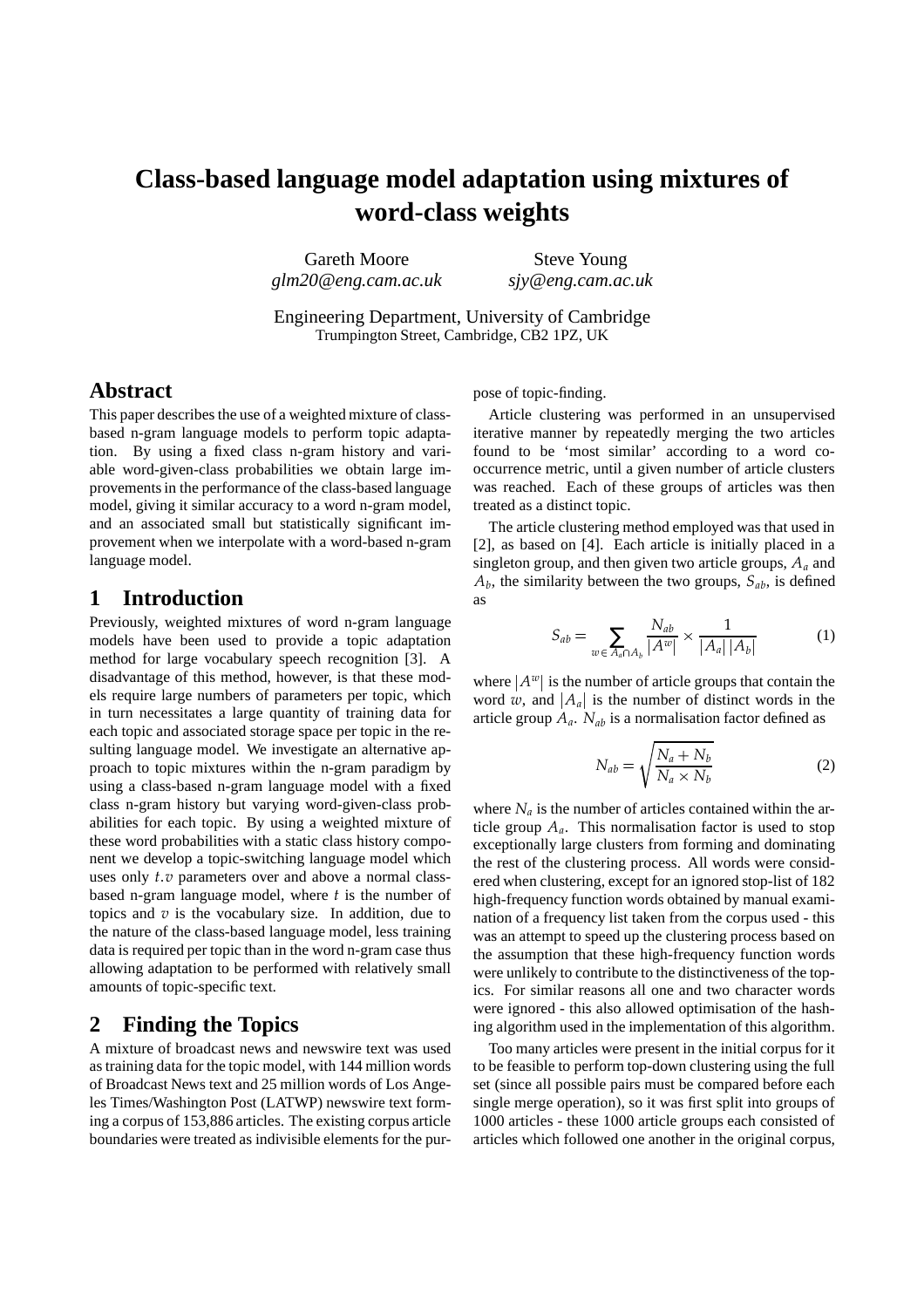# **Class-based language model adaptation using mixtures of word-class weights**

Gareth Moore *glm20@eng.cam.ac.uk* Steve Young *sjy@eng.cam.ac.uk*

Engineering Department, University of Cambridge Trumpington Street, Cambridge, CB2 1PZ, UK

## **Abstract**

This paper describes the use of a weighted mixture of classbased n-gram language models to perform topic adaptation. By using a fixed class n-gram history and variable word-given-class probabilities we obtain large improvementsin the performance of the class-based language model, giving it similar accuracy to a word n-gram model, and an associated small but statistically significant improvement when we interpolate with a word-based n-gram language model.

## **1 Introduction**

Previously, weighted mixtures of word n-gram language models have been used to provide a topic adaptation method for large vocabulary speech recognition [3]. A disadvantage of this method, however, is that these models require large numbers of parameters per topic, which in turn necessitates a large quantity of training data for each topic and associated storage space per topic in the resulting language model. We investigate an alternative approach to topic mixtures within the n-gram paradigm by using a class-based n-gram language model with a fixed class n-gram history but varying word-given-class probabilities for each topic. By using a weighted mixture of these word probabilities with a static class history component we develop a topic-switching language model which uses only *t*.*v* parameters over and above a normal classbased n-gram language model, where *t* is the number of topics and *v* is the vocabulary size. In addition, due to the nature of the class-based language model, less training data is required per topic than in the word n-gram case thus allowing adaptation to be performed with relatively small amounts of topic-specific text.

## **2 Finding the Topics**

A mixture of broadcast news and newswire text was used as training data for the topic model, with 144 million words of Broadcast News text and 25 million words of Los Angeles Times/Washington Post (LATWP) newswire text forming a corpus of 153,886 articles. The existing corpus article boundaries were treated as indivisible elements for the purpose of topic-finding.

Article clustering was performed in an unsupervised iterative manner by repeatedly merging the two articles found to be 'most similar' according to a word cooccurrence metric, until a given number of article clusters was reached. Each of these groups of articles was then treated as a distinct topic.

The article clustering method employed was that used in [2], as based on [4]. Each article is initially placed in a singleton group, and then given two article groups, *A<sup>a</sup>* and  $A_b$ , the similarity between the two groups,  $S_{ab}$ , is defined as

$$
S_{ab} = \sum_{w \in A_a \cap A_b} \frac{N_{ab}}{|A^w|} \times \frac{1}{|A_a| |A_b|} \tag{1}
$$

where  $|A^w|$  is the number of article groups that contain the word w, and  $|A_a|$  is the number of distinct words in the article group *Aa*. *Nab* is a normalisation factor defined as

$$
N_{ab} = \sqrt{\frac{N_a + N_b}{N_a \times N_b}}
$$
 (2)

where  $N_a$  is the number of articles contained within the article group  $A_a$ . This normalisation factor is used to stop exceptionally large clusters from forming and dominating the rest of the clustering process. All words were considered when clustering, except for an ignored stop-list of 182 high-frequency function words obtained by manual examination of a frequency list taken from the corpus used - this was an attempt to speed up the clustering process based on the assumption that these high-frequency function words were unlikely to contribute to the distinctiveness of the topics. For similar reasons all one and two character words were ignored - this also allowed optimisation of the hashing algorithm used in the implementation of this algorithm.

Too many articles were present in the initial corpus for it to be feasible to perform top-down clustering using the full set (since all possible pairs must be compared before each single merge operation), so it was first split into groups of 1000 articles - these 1000 article groups each consisted of articles which followed one another in the original corpus,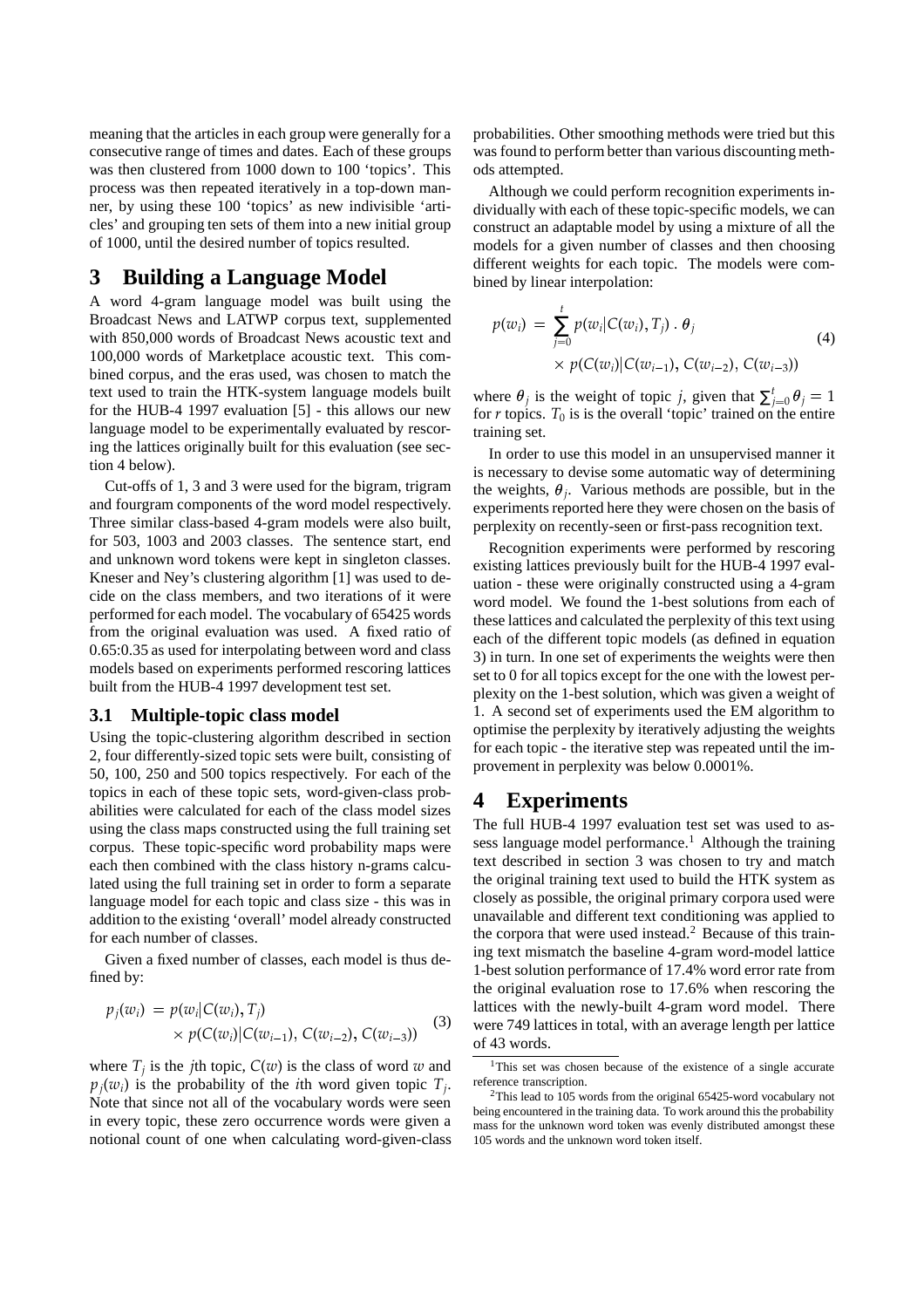meaning that the articles in each group were generally for a consecutive range of times and dates. Each of these groups was then clustered from 1000 down to 100 'topics'. This process was then repeated iteratively in a top-down manner, by using these 100 'topics' as new indivisible 'articles' and grouping ten sets of them into a new initial group of 1000, until the desired number of topics resulted.

## **3 Building a Language Model**

A word 4-gram language model was built using the Broadcast News and LATWP corpus text, supplemented with 850,000 words of Broadcast News acoustic text and 100,000 words of Marketplace acoustic text. This combined corpus, and the eras used, was chosen to match the text used to train the HTK-system language models built for the HUB-4 1997 evaluation [5] - this allows our new language model to be experimentally evaluated by rescoring the lattices originally built for this evaluation (see section 4 below).

Cut-offs of 1, 3 and 3 were used for the bigram, trigram and fourgram components of the word model respectively. Three similar class-based 4-gram models were also built, for 503, 1003 and 2003 classes. The sentence start, end and unknown word tokens were kept in singleton classes. Kneser and Ney's clustering algorithm [1] was used to decide on the class members, and two iterations of it were performed for each model. The vocabulary of 65425 words from the original evaluation was used. A fixed ratio of 0.65:0.35 as used for interpolating between word and class models based on experiments performed rescoring lattices built from the HUB-4 1997 development test set.

#### **3.1 Multiple-topic class model**

. .

Using the topic-clustering algorithm described in section 2, four differently-sized topic sets were built, consisting of 50, 100, 250 and 500 topics respectively. For each of the topics in each of these topic sets, word-given-class probabilities were calculated for each of the class model sizes using the class maps constructed using the full training set corpus. These topic-specific word probability maps were each then combined with the class history n-grams calculated using the full training set in order to form a separate language model for each topic and class size - this was in addition to the existing 'overall' model already constructed for each number of classes.

Given a fixed number of classes, each model is thus defined by:

$$
p_j(w_i) = p(w_i|C(w_i), T_j)
$$
  
×  $p(C(w_i)|C(w_{i-1}), C(w_{i-2}), C(w_{i-3}))$  (3)

where  $T_j$  is the *j*th topic,  $C(w)$  is the class of word *w* and  $p_j(w_i)$  is the probability of the *i*th word given topic  $T_j$ . Note that since not all of the vocabulary words were seen in every topic, these zero occurrence words were given a notional count of one when calculating word-given-class probabilities. Other smoothing methods were tried but this was found to perform better than various discounting methods attempted.

Although we could perform recognition experiments individually with each of these topic-specific models, we can construct an adaptable model by using a mixture of all the models for a given number of classes and then choosing different weights for each topic. The models were combined by linear interpolation:

$$
p(w_i) = \sum_{j=0}^{t} p(w_i | C(w_i), T_j) \cdot \theta_j
$$
  
 
$$
\times p(C(w_i) | C(w_{i-1}), C(w_{i-2}), C(w_{i-3}))
$$
 (4)

where  $\theta_j$  is the weight of topic *j*, given that  $\sum_{j=0}^{t} \theta_j = 1$ for  $r$  topics.  $T_0$  is is the overall 'topic' trained on the entire training set.

In order to use this model in an unsupervised manner it is necessary to devise some automatic way of determining the weights,  $\theta_j$ . Various methods are possible, but in the experiments reported here they were chosen on the basis of perplexity on recently-seen or first-pass recognition text.

Recognition experiments were performed by rescoring existing lattices previously built for the HUB-4 1997 evaluation - these were originally constructed using a 4-gram word model. We found the 1-best solutions from each of these lattices and calculated the perplexity of this text using each of the different topic models (as defined in equation 3) in turn. In one set of experiments the weights were then set to 0 for all topics except for the one with the lowest perplexity on the 1-best solution, which was given a weight of 1. A second set of experiments used the EM algorithm to optimise the perplexity by iteratively adjusting the weights for each topic - the iterative step was repeated until the improvement in perplexity was below 0.0001%.

## **4 Experiments**

The full HUB-4 1997 evaluation test set was used to assess language model performance.<sup>1</sup> Although the training text described in section 3 was chosen to try and match the original training text used to build the HTK system as closely as possible, the original primary corpora used were unavailable and different text conditioning was applied to the corpora that were used instead.<sup>2</sup> Because of this training text mismatch the baseline 4-gram word-model lattice 1-best solution performance of 17.4% word error rate from the original evaluation rose to 17.6% when rescoring the lattices with the newly-built 4-gram word model. There were 749 lattices in total, with an average length per lattice of 43 words.

<sup>&</sup>lt;sup>1</sup>This set was chosen because of the existence of a single accurate reference transcription.

<sup>&</sup>lt;sup>2</sup>This lead to 105 words from the original 65425-word vocabulary not being encountered in the training data. To work around this the probability mass for the unknown word token was evenly distributed amongst these 105 words and the unknown word token itself.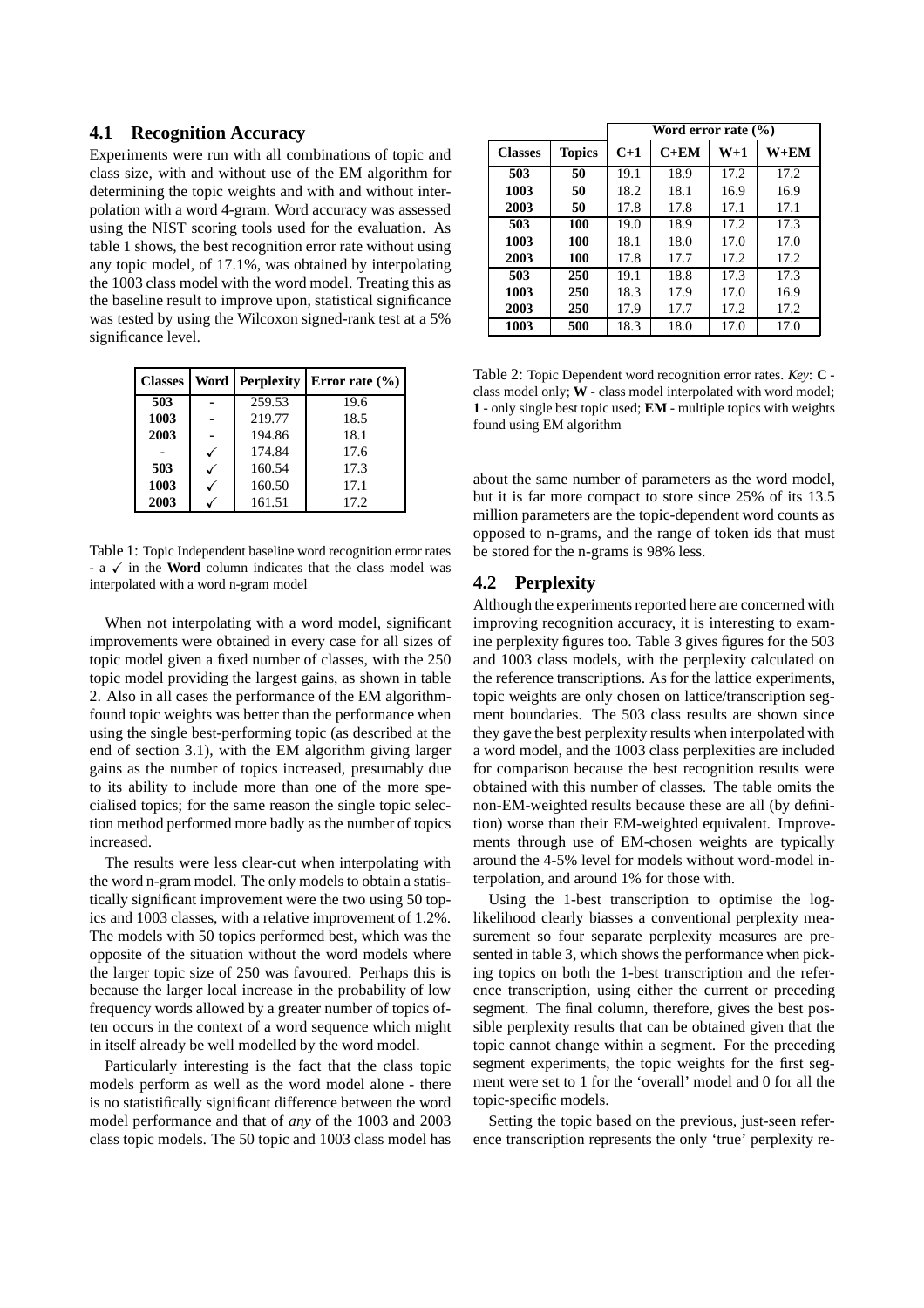#### **4.1 Recognition Accuracy**

Experiments were run with all combinations of topic and class size, with and without use of the EM algorithm for determining the topic weights and with and without interpolation with a word 4-gram. Word accuracy was assessed using the NIST scoring tools used for the evaluation. As table 1 shows, the best recognition error rate without using any topic model, of 17.1%, was obtained by interpolating the 1003 class model with the word model. Treating this as the baseline result to improve upon, statistical significance was tested by using the Wilcoxon signed-rank test at a 5% significance level.

| <b>Classes</b> | Word | <b>Perplexity</b> | Error rate $(\% )$ |  |
|----------------|------|-------------------|--------------------|--|
| 503            |      | 259.53            | 19.6               |  |
| 1003           |      | 219.77            | 18.5               |  |
| 2003           |      | 194.86            | 18.1               |  |
|                |      | 174.84            | 17.6               |  |
| 503            |      | 160.54            | 17.3               |  |
| 1003           |      | 160.50            | 17.1               |  |
| 2003           |      | 161.51            | 17.2               |  |

Table 1: Topic Independent baseline word recognition error rates - a  $\checkmark$  in the **Word** column indicates that the class model was interpolated with a word n-gram model

When not interpolating with a word model, significant improvements were obtained in every case for all sizes of topic model given a fixed number of classes, with the 250 topic model providing the largest gains, as shown in table 2. Also in all cases the performance of the EM algorithmfound topic weights was better than the performance when using the single best-performing topic (as described at the end of section 3.1), with the EM algorithm giving larger gains as the number of topics increased, presumably due to its ability to include more than one of the more specialised topics; for the same reason the single topic selection method performed more badly as the number of topics increased.

The results were less clear-cut when interpolating with the word n-gram model. The only models to obtain a statistically significant improvement were the two using 50 topics and 1003 classes, with a relative improvement of 1.2%. The models with 50 topics performed best, which was the opposite of the situation without the word models where the larger topic size of 250 was favoured. Perhaps this is because the larger local increase in the probability of low frequency words allowed by a greater number of topics often occurs in the context of a word sequence which might in itself already be well modelled by the word model.

Particularly interesting is the fact that the class topic models perform as well as the word model alone - there is no statistifically significant difference between the word model performance and that of *any* of the 1003 and 2003 class topic models. The 50 topic and 1003 class model has

|                |               | Word error rate $(\% )$ |        |       |          |  |  |
|----------------|---------------|-------------------------|--------|-------|----------|--|--|
| <b>Classes</b> | <b>Topics</b> | $C+1$                   | $C+EM$ | $W+1$ | $W + EM$ |  |  |
| 503            | 50            | 19.1                    | 18.9   | 17.2  | 17.2     |  |  |
| 1003           | 50            | 18.2                    | 18.1   | 16.9  | 16.9     |  |  |
| 2003           | 50            | 17.8                    | 17.8   | 17.1  | 17.1     |  |  |
| 503            | 100           | 19.0                    | 18.9   | 17.2  | 17.3     |  |  |
| 1003           | 100           | 18.1                    | 18.0   | 17.0  | 17.0     |  |  |
| 2003           | 100           | 17.8                    | 17.7   | 17.2  | 17.2     |  |  |
| 503            | 250           | 19.1                    | 18.8   | 17.3  | 17.3     |  |  |
| 1003           | 250           | 18.3                    | 17.9   | 17.0  | 16.9     |  |  |
| 2003           | 250           | 17.9                    | 17.7   | 17.2  | 17.2     |  |  |
| 1003           | 500           | 18.3                    | 18.0   | 17.0  | 17.0     |  |  |

Table 2: Topic Dependent word recognition error rates. *Key*: **C** class model only; **W** - class model interpolated with word model; **1** - only single best topic used; **EM** - multiple topics with weights found using EM algorithm

about the same number of parameters as the word model, but it is far more compact to store since 25% of its 13.5 million parameters are the topic-dependent word counts as opposed to n-grams, and the range of token ids that must be stored for the n-grams is 98% less.

#### **4.2 Perplexity**

Although the experiments reported here are concerned with improving recognition accuracy, it is interesting to examine perplexity figures too. Table 3 gives figures for the 503 and 1003 class models, with the perplexity calculated on the reference transcriptions. As for the lattice experiments, topic weights are only chosen on lattice/transcription segment boundaries. The 503 class results are shown since they gave the best perplexity results when interpolated with a word model, and the 1003 class perplexities are included for comparison because the best recognition results were obtained with this number of classes. The table omits the non-EM-weighted results because these are all (by definition) worse than their EM-weighted equivalent. Improvements through use of EM-chosen weights are typically around the 4-5% level for models without word-model interpolation, and around 1% for those with.

Using the 1-best transcription to optimise the loglikelihood clearly biasses a conventional perplexity measurement so four separate perplexity measures are presented in table 3, which shows the performance when picking topics on both the 1-best transcription and the reference transcription, using either the current or preceding segment. The final column, therefore, gives the best possible perplexity results that can be obtained given that the topic cannot change within a segment. For the preceding segment experiments, the topic weights for the first segment were set to 1 for the 'overall' model and 0 for all the topic-specific models.

Setting the topic based on the previous, just-seen reference transcription represents the only 'true' perplexity re